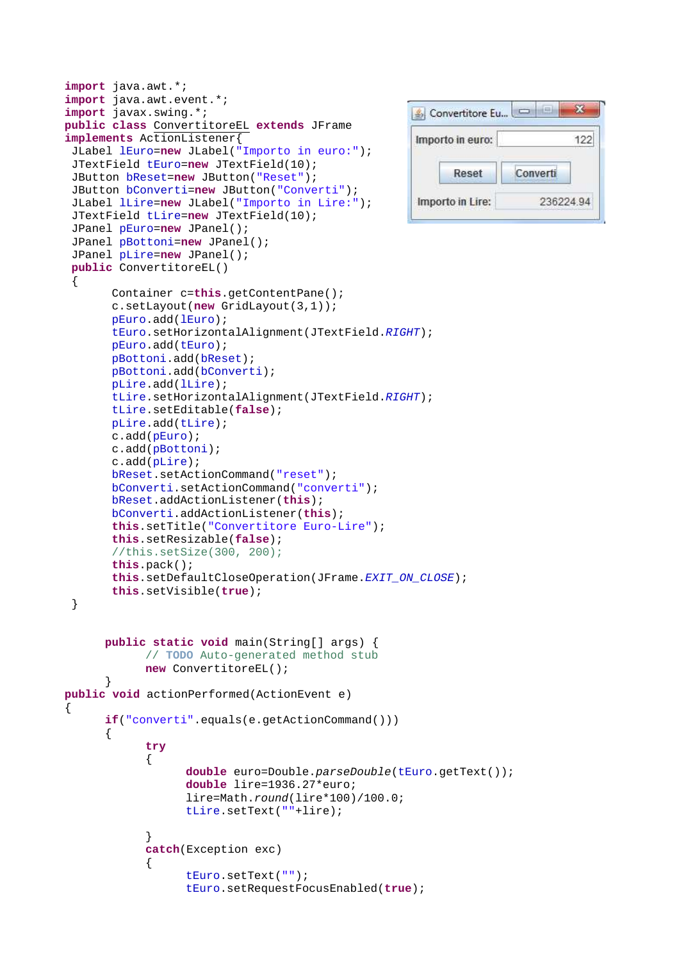```
import java.awt.*; 
import java.awt.event.*; 
import javax.swing.*; 
                                                      Convertitore Eu...
public class ConvertitoreEL extends JFrame 
implements ActionListener{ 
                                                       Importo in euro:
  JLabel lEuro=new JLabel("Importo in euro:"); 
  JTextField tEuro=new JTextField(10); 
                                                            Reset
                                                                      Converti
  JButton bReset=new JButton("Reset"); 
  JButton bConverti=new JButton("Converti"); 
                                                       Importo in Lire:
  JLabel lLire=new JLabel("Importo in Lire:"); 
  JTextField tLire=new JTextField(10); 
  JPanel pEuro=new JPanel(); 
  JPanel pBottoni=new JPanel(); 
  JPanel pLire=new JPanel(); 
 public ConvertitoreEL() 
  { 
        Container c=this.getContentPane(); 
        c.setLayout(new GridLayout(3,1)); 
        pEuro.add(lEuro); 
        tEuro.setHorizontalAlignment(JTextField.RIGHT); 
        pEuro.add(tEuro); 
        pBottoni.add(bReset); 
        pBottoni.add(bConverti); 
        pLire.add(lLire); 
        tLire.setHorizontalAlignment(JTextField.RIGHT); 
        tLire.setEditable(false); 
        pLire.add(tLire); 
        c.add(pEuro); 
        c.add(pBottoni); 
        c.add(pLire); 
        bReset.setActionCommand("reset"); 
        bConverti.setActionCommand("converti"); 
        bReset.addActionListener(this); 
        bConverti.addActionListener(this); 
        this.setTitle("Convertitore Euro-Lire"); 
        this.setResizable(false); 
        //this.setSize(300, 200);
        this.pack(); 
        this.setDefaultCloseOperation(JFrame.EXIT_ON_CLOSE); 
        this.setVisible(true); 
  } 
      public static void main(String[] args) { 
             // TODO Auto-generated method stub
             new ConvertitoreEL(); 
 } 
public void actionPerformed(ActionEvent e) 
{ 
      if("converti".equals(e.getActionCommand())) 
       { 
             try
\{ double euro=Double.parseDouble(tEuro.getText()); 
                    double lire=1936.27*euro; 
                    lire=Math.round(lire*100)/100.0; 
                    tLire.setText(""+lire); 
 } 
             catch(Exception exc) 
\{ tEuro.setText(""); 
                    tEuro.setRequestFocusEnabled(true);
```
×

122

236224.94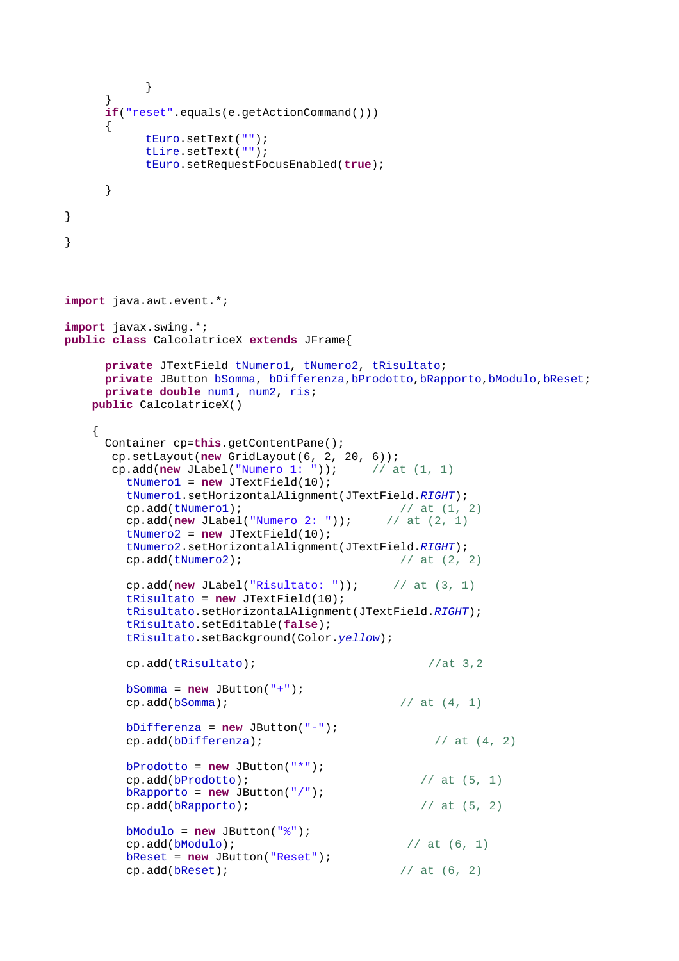```
 } 
      } 
     if("reset".equals(e.getActionCommand())) 
      { 
           tEuro.setText(""); 
           tLire.setText(""); 
           tEuro.setRequestFocusEnabled(true); 
      } 
} 
} 
import java.awt.event.*; 
import javax.swing.*; 
public class CalcolatriceX extends JFrame{ 
     private JTextField tNumero1, tNumero2, tRisultato; 
     private JButton bSomma, bDifferenza,bProdotto,bRapporto,bModulo,bReset; 
     private double num1, num2, ris; 
    public CalcolatriceX() 
    { 
      Container cp=this.getContentPane(); 
       cp.setLayout(new GridLayout(6, 2, 20, 6)); 
      cp.add(new JLabel("Numero 1: ")); // at (1, 1) tNumero1 = new JTextField(10); 
         tNumero1.setHorizontalAlignment(JTextField.RIGHT); 
        cp.add(tNumero1); \frac{1}{2} \frac{1}{2} cp.add(new JLabel("Numero 2: ")); // at (2, 1)
         tNumero2 = new JTextField(10); 
         tNumero2.setHorizontalAlignment(JTextField.RIGHT); 
        cp.add(tNumero2); \sqrt{2} // at (2, 2)cp.add(new JLabel("Risultato: ")); // at (3, 1) tRisultato = new JTextField(10); 
         tRisultato.setHorizontalAlignment(JTextField.RIGHT); 
         tRisultato.setEditable(false); 
         tRisultato.setBackground(Color.yellow); 
         cp.add(tRisultato); //at 3,2
         bSomma = new JButton("+"); 
        cp.add(bSomma); \frac{1}{4}, 1)
         bDifferenza = new JButton("-"); 
        cp.add(bDifferentza); // at (4, 2) bProdotto = new JButton("*"); 
        cp.add(bProducto); // at (5, 1) bRapporto = new JButton("/"); 
        cp.add(bRapporto); // at (5, 2) bModulo = new JButton("%"); 
        cp.add(bModule); // at (6, 1) bReset = new JButton("Reset"); 
        cp.add(bResearch); // at (6, 2)
```